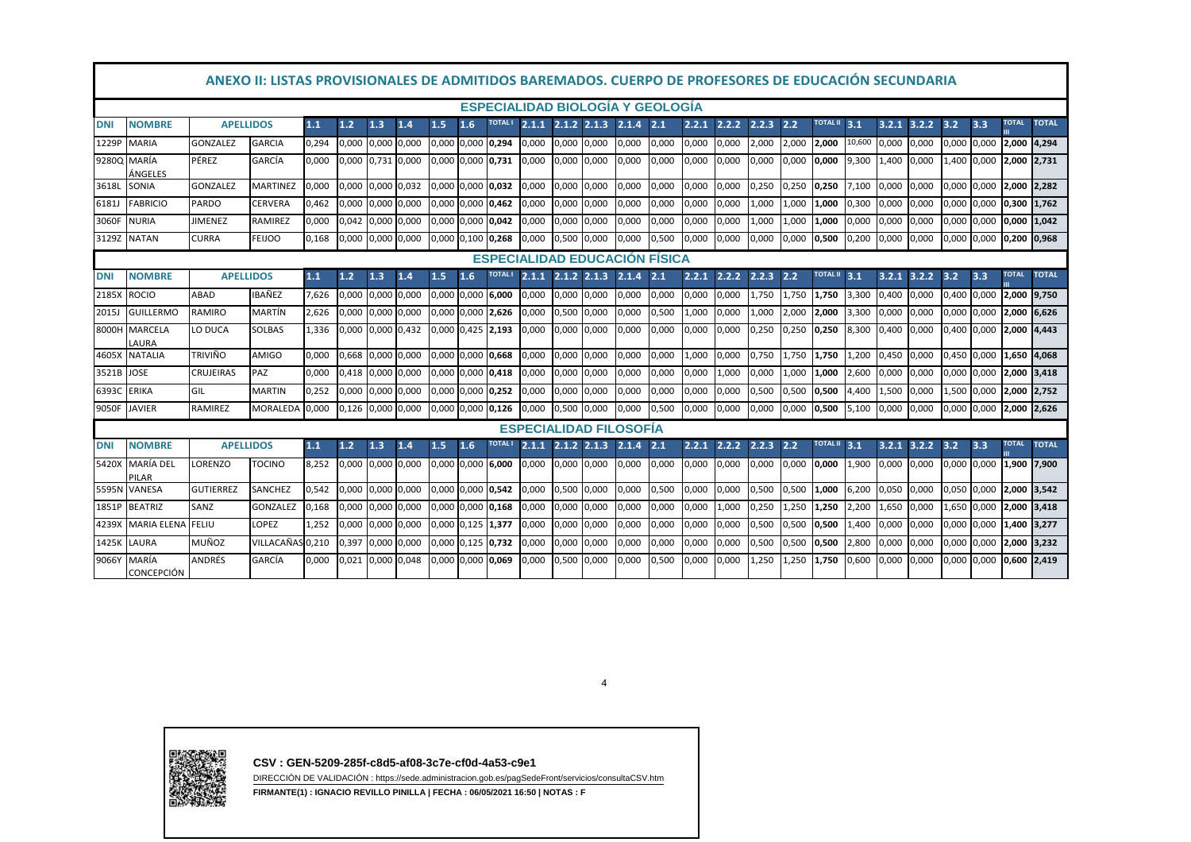|              | ANEXO II: LISTAS PROVISIONALES DE ADMITIDOS BAREMADOS. CUERPO DE PROFESORES DE EDUCACIÓN SECUNDARIA                                                                                                                                                                                                        |                  |                  |       |                   |                   |       |                   |     |               |                         |                 |       |                               |       |       |       |       |       |                 |        |                 |       |                         |             |               |              |
|--------------|------------------------------------------------------------------------------------------------------------------------------------------------------------------------------------------------------------------------------------------------------------------------------------------------------------|------------------|------------------|-------|-------------------|-------------------|-------|-------------------|-----|---------------|-------------------------|-----------------|-------|-------------------------------|-------|-------|-------|-------|-------|-----------------|--------|-----------------|-------|-------------------------|-------------|---------------|--------------|
|              | <b>ESPECIALIDAD BIOLOGÍA Y GEOLOGÍA</b><br><b>TOTAL</b><br><b>TOTAL II</b><br><b>TOTAL</b><br>TOTAL I<br>1.2<br>1.5<br>1.6<br>2.1.1<br>$2.1.2$ $2.1.3$<br>2.1.4<br>2.1<br>2.2.1<br>2.2.2<br>2.2.3<br>2.2<br>3.1<br>$3.2.1$ $3.2.2$<br>3.3<br><b>NOMBRE</b><br><b>APELLIDOS</b><br>1.1<br>1.3<br>1.4<br>3.2 |                  |                  |       |                   |                   |       |                   |     |               |                         |                 |       |                               |       |       |       |       |       |                 |        |                 |       |                         |             |               |              |
| <b>DNI</b>   |                                                                                                                                                                                                                                                                                                            |                  |                  |       |                   |                   |       |                   |     |               |                         |                 |       |                               |       |       |       |       |       |                 |        |                 |       |                         |             |               |              |
| 1229P        | <b>MARIA</b>                                                                                                                                                                                                                                                                                               | <b>GONZALEZ</b>  | <b>GARCIA</b>    | 0,294 | 0,000 0,000 0,000 |                   |       | 0.000 0.000 0.294 |     |               | 0,000                   | 0,000           | 0,000 | 0,000                         | 0,000 | 0,000 | 0.000 | 2,000 | 2.000 | 2.000           | 10,600 | 0.000           | 0,000 | 0,000 0,000             |             | 2,000 4,294   |              |
|              | 9280Q MARÍA<br>ÁNGELES                                                                                                                                                                                                                                                                                     | PÉREZ            | GARCÍA           | 0.000 | 0,000 0,731       |                   | 0,000 | 0,000 0,000 0,731 |     |               | 0,000                   | 0,000           | 0,000 | 0,000                         | 0,000 | 0,000 | 0,000 | 0,000 | 0,000 | 0,000           | 9,300  | 1,400           | 0,000 |                         | 1,400 0,000 | 2,000 2,731   |              |
| 3618L        | SONIA                                                                                                                                                                                                                                                                                                      | <b>GONZALEZ</b>  | <b>MARTINEZ</b>  | 0.000 |                   | 0,000 0,000       | 0,032 | 0,000 0,000 0,032 |     |               | 0,000                   | 0,000           | 0,000 | 0,000                         | 0,000 | 0,000 | 0,000 | 0,250 | 0,250 | 0,250           | 7.100  | 0,000           | 0,000 | 0,000 0,000 2,000 2,282 |             |               |              |
| 6181J        | <b>FABRICIO</b>                                                                                                                                                                                                                                                                                            | PARDO            | CERVERA          | 0,462 | 0,000 0,000 0,000 |                   |       | 0,000 0,000 0,462 |     |               | 0,000                   | 0,000           | 0,000 | 0,000                         | 0,000 | 0,000 | 0,000 | 1,000 | 1,000 | 1,000           | 0,300  | 0,000           | 0,000 | 0,000 0,000             |             | 0,300 1,762   |              |
| 3060F        | <b>NURIA</b>                                                                                                                                                                                                                                                                                               | JIMENEZ          | RAMIREZ          | 0,000 | 0,042             | 0,000             | 0,000 | 0,000 0,000       |     | 0,042         | 0,000                   | 0,000           | 0,000 | 0,000                         | 0,000 | 0,000 | 0,000 | 1,000 | 1,000 | 1,000           | 0,000  | 0,000           | 0,000 | 0,000 0,000             |             | 0,000 1,042   |              |
| 3129Z        | <b>NATAN</b>                                                                                                                                                                                                                                                                                               | CURRA            | FEIJOO           | 0,168 | 0,000 0,000 0,000 |                   |       | 0,000 0,100 0,268 |     |               | 0,000                   | 0,500           | 0,000 | 0,000                         | 0,500 | 0,000 | 0,000 | 0,000 | 0,000 | 0,500           | 0,200  | 0,000           | 0,000 | 0,000 0,000 0,200 0,968 |             |               |              |
|              | <b>ESPECIALIDAD EDUCACIÓN FÍSICA</b>                                                                                                                                                                                                                                                                       |                  |                  |       |                   |                   |       |                   |     |               |                         |                 |       |                               |       |       |       |       |       |                 |        |                 |       |                         |             |               |              |
| <b>DNI</b>   | <b>NOMBRE</b>                                                                                                                                                                                                                                                                                              | <b>APELLIDOS</b> |                  | 1.1   | 1.2               | 1.3               | 1.4   | 1.5               | 1.6 | TOTAL I       | 2.1.1                   | $2.1.2$ $2.1.3$ |       | 2.1.4                         | 2.1   | 2.2.1 | 2.2.2 | 2.2.3 | 2.2   | TOTAL II 3.1    |        | 3.2.1           | 3.2.2 | 3.2                     | 3.3         | <b>TOTAL</b>  | <b>TOTAL</b> |
| 2185X        | <b>ROCIO</b>                                                                                                                                                                                                                                                                                               | ABAD             | IBAÑEZ           | 7.626 |                   | 0,000 0,000       | 0,000 | 0.000 0.000       |     | 6.000         | 0,000                   | 0,000           | 0,000 | 0.000                         | 0,000 | 0,000 | 0,000 | 1.750 | 1.750 | 1,750           | 3,300  | 0.400           | 0,000 | 0,400 0,000             |             | 2.000 9.750   |              |
| <b>2015J</b> | <b>GUILLERMO</b>                                                                                                                                                                                                                                                                                           | RAMIRO           | MARTÍN           | 2.626 | 0,000 0,000       |                   | 0,000 | 0,000 0,000       |     | 2,626         | 0,000                   | 0,500           | 0,000 | 0,000                         | 0,500 | 1,000 | 0,000 | 1,000 | 2,000 | 2,000           | 3,300  | 0,000           | 0,000 | 0,000 0,000             |             | 2,000 6,626   |              |
| 8000H        | <b>MARCELA</b><br>LAURA                                                                                                                                                                                                                                                                                    | LO DUCA          | <b>SOLBAS</b>    | 1,336 | 0,000 0,000 0,432 |                   |       | 0,000 0,425 2,193 |     |               | 0,000                   | 0,000           | 0,000 | 0,000                         | 0,000 | 0,000 | 0,000 | 0,250 | 0,250 | 0,250           | 8,300  | 0,400           | 0,000 | 0,400 0,000             |             | 2,000 4,443   |              |
| 4605X        | <b>NATALIA</b>                                                                                                                                                                                                                                                                                             | <b>TRIVIÑO</b>   | AMIGO            | 0.000 |                   | 0,668 0,000 0,000 |       | 0,000 0,000 0,668 |     |               | 0.000                   | 0,000           | 0,000 | 0,000                         | 0,000 | 1,000 | 0,000 | 0,750 | 1,750 | 1,750           | 1,200  | 0,450           | 0,000 | 0,450 0,000             |             | 1,650 4,068   |              |
| 3521B        | <b>JOSE</b>                                                                                                                                                                                                                                                                                                | CRUJEIRAS        | PAZ              | 0,000 | 0,418 0,000 0,000 |                   |       | 0,000 0,000       |     | 0,418         | 0,000                   | 0,000           | 0,000 | 0,000                         | 0,000 | 0,000 | 1,000 | 0,000 | 1,000 | 1,000           | 2,600  | 0,000           | 0,000 |                         | 0,000 0,000 | 2,000 3,418   |              |
| 6393C ERIKA  |                                                                                                                                                                                                                                                                                                            | GIL              | <b>MARTIN</b>    | 0,252 | 0,000 0,000 0,000 |                   |       | 0,000 0,000 0,252 |     |               | 0,000                   | 0,000           | 0,000 | 0,000                         | 0,000 | 0,000 | 0,000 | 0,500 | 0,500 | 0,500           | 4,400  | 1,500           | 0,000 |                         | 1,500 0,000 | 2,000 2,752   |              |
| 9050F        | <b>JAVIER</b>                                                                                                                                                                                                                                                                                              | RAMIREZ          | <b>MORALEDA</b>  | 0,000 | 0,126 0,000 0,000 |                   |       | 0,000 0,000 0,126 |     |               | 0.000                   | 0,500           | 0,000 | 0,000                         | 0,500 | 0,000 | 0,000 | 0,000 | 0,000 | 0,500           | 5,100  | 0,000           | 0,000 | 0,000 0,000             |             | 2,000 2,626   |              |
|              |                                                                                                                                                                                                                                                                                                            |                  |                  |       |                   |                   |       |                   |     |               |                         |                 |       | <b>ESPECIALIDAD FILOSOFIA</b> |       |       |       |       |       |                 |        |                 |       |                         |             |               |              |
| <b>DNI</b>   | <b>NOMBRE</b>                                                                                                                                                                                                                                                                                              | <b>APELLIDOS</b> |                  | 1.1   | $1.2$             | 1.3               | 1.4   | 1.5               | 1.6 | <b>TOTALI</b> | $2.1.1$ $2.1.2$ $2.1.3$ |                 |       | 2.1.4                         | 2.1   | 2.2.1 | 2.2.2 | 2.2.3 | 2.2   | <b>TOTAL II</b> | 3.1    | $3.2.1$ $3.2.2$ |       | 3.2                     | 3.3         | <b>TOTAL</b>  | <b>TOTAL</b> |
| 5420X        | MARÍA DEL<br>PILAR                                                                                                                                                                                                                                                                                         | <b>ORENZO</b>    | TOCINO           | 8.252 | 0,000 0,000 0,000 |                   |       | 0,000 0,000 6,000 |     |               | 0,000                   | 0,000           | 0,000 | 0,000                         | 0,000 | 0,000 | 0,000 | 0,000 | 0,000 | 0,000           | 1,900  | 0,000           | 0,000 | 0,000 0,000 1,900 7,900 |             |               |              |
|              | 5595N VANESA                                                                                                                                                                                                                                                                                               | <b>GUTIERREZ</b> | SANCHEZ          | 0,542 | 0,000 0,000 0,000 |                   |       | 0,000 0,000 0,542 |     |               | 0,000                   | 0,500           | 0,000 | 0,000                         | 0,500 | 0,000 | 0,000 | 0,500 | 0,500 | 1,000           | 6,200  | 0,050           | 0,000 | 0,050 0,000             |             | 2,000 3,542   |              |
| 1851P        | <b>BEATRIZ</b>                                                                                                                                                                                                                                                                                             | SANZ             | <b>GONZALEZ</b>  | 0,168 | 0,000 0,000 0,000 |                   |       | 0,000 0,000 0,168 |     |               | 0,000                   | 0,000           | 0,000 | 0,000                         | 0,000 | 0,000 | 1,000 | 0,250 | 1,250 | 1,250           | 2,200  | 1,650           | 0,000 |                         | 1,650 0,000 | 2,000 3,418   |              |
| 4239X        | <b>MARIA ELENA</b>                                                                                                                                                                                                                                                                                         | <b>FELIU</b>     | LOPEZ            | 1.252 | 0,000             | 0,000 0,000       |       | 0,000 0,125       |     | 1,377         | 0,000                   | 0,000           | 0,000 | 0,000                         | 0,000 | 0,000 | 0,000 | 0,500 | 0,500 | 0,500           | 1,400  | 0,000           | 0,000 | 0,000 0,000             |             | 1,400 3,277   |              |
| 1425K        | LAURA                                                                                                                                                                                                                                                                                                      | MUÑOZ            | VILLACAÑAS 0,210 |       | 0,397             | 0,000             | 0,000 | 0,000 0,125       |     | 0,732         | 0,000                   | 0,000           | 0,000 | 0,000                         | 0,000 | 0,000 | 0,000 | 0,500 | 0,500 | 0,500           | 2,800  | 0,000           | 0,000 | 0,000 0,000             |             | 2,000 3,232   |              |
| 9066Y        | MARÍA<br><b>CONCEPCIÓN</b>                                                                                                                                                                                                                                                                                 | ANDRÉS           | GARCÍA           | 0.000 |                   | 0,021 0,000 0,048 |       | 0,000 0,000 0,069 |     |               | 0,000                   | 0,500           | 0,000 | 0,000                         | 0,500 | 0,000 | 0,000 | 1,250 | L,250 | 1,750           | 0.600  | 0,000           | 0,000 | 0,000 0,000             |             | $0,600$ 2,419 |              |

4



**CSV : GEN-5209-285f-c8d5-af08-3c7e-cf0d-4a53-c9e1**

 DIRECCIÓN DE VALIDACIÓN : https://sede.administracion.gob.es/pagSedeFront/servicios/consultaCSV.htm**FIRMANTE(1) : IGNACIO REVILLO PINILLA | FECHA : 06/05/2021 16:50 | NOTAS : F**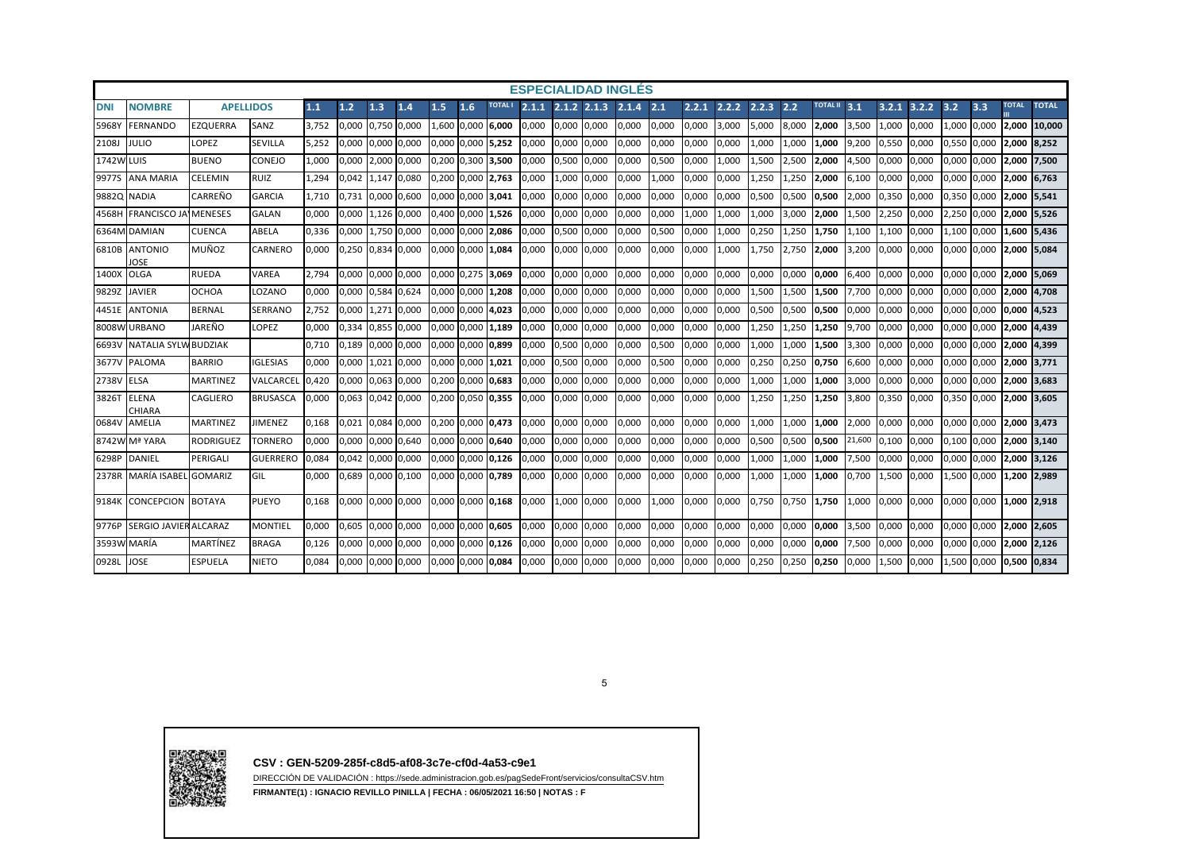| <b>ESPECIALIDAD INGLÉS</b><br>$2.1.1$ $2.1.2$ $2.1.3$ |                               |                  |                 |       |       |             |             |     |                   |                |       |                 |       |       |       |       |       |       |       |                 |        |       |       |             |             |              |              |
|-------------------------------------------------------|-------------------------------|------------------|-----------------|-------|-------|-------------|-------------|-----|-------------------|----------------|-------|-----------------|-------|-------|-------|-------|-------|-------|-------|-----------------|--------|-------|-------|-------------|-------------|--------------|--------------|
| <b>DNI</b>                                            | <b>NOMBRE</b>                 | <b>APELLIDOS</b> |                 | 1.1   | 1.2   | 1.3         | 1.4         | 1.5 | 1.6               | <b>TOTAL I</b> |       |                 |       | 2.1.4 | 2.1   | 2.2.1 | 2.2.2 | 2.2.3 | 2.2   | <b>TOTAL II</b> | 3.1    | 3.2.1 | 3.2.2 | 3.2         | 3.3         | <b>TOTAL</b> | <b>TOTAL</b> |
| 5968Y                                                 | <b>FERNANDO</b>               | EZQUERRA         | SANZ            | 3.752 | 0.000 | 0,750 0,000 |             |     | 1.600 0.000       | 6.000          | 0.000 | 0,000 0,000     |       | 0,000 | 0,000 | 0,000 | 3,000 | 5.000 | 8,000 | 2,000           | 3,500  | L.000 | 0,000 |             | ,000 0,000  | 2,000        | 10,000       |
| 2108J                                                 | <b>JULIO</b>                  | <b>LOPEZ</b>     | <b>SEVILLA</b>  | 5.252 | 0,000 |             | 0,000 0,000 |     | 0,000 0,000 5,252 |                | 0,000 | 0,000           | 0,000 | 0,000 | 0,000 | 0,000 | 0,000 | 1,000 | 1,000 | 1.000           | 9,200  | 0,550 | 0,000 | 0,550 0,000 |             | 2,000        | 8,252        |
| <b>1742W LUIS</b>                                     |                               | <b>BUENO</b>     | CONEJO          | L.000 | 0,000 |             | 2,000 0,000 |     | 0,200 0,300 3,500 |                | 0,000 | 0,500           | 0,000 | 0,000 | 0,500 | 0,000 | 1,000 | 1,500 | 2,500 | 2.000           | 4,500  | 0.000 | 0,000 | 0,000 0,000 |             | 2,000 7,500  |              |
| 9977S                                                 | <b>ANA MARIA</b>              | <b>CELEMIN</b>   | <b>RUIZ</b>     | . 294 | 0.042 |             | 1,147 0,080 |     | 0,200 0,000       | 2,763          | 0,000 | 1,000           | 0,000 | 0,000 | 1,000 | 0,000 | 0,000 | L,250 | 1,250 | 2,000           | 6,100  | 0.000 | 0,000 | 0.000       | 0,000       | 2,000 6,763  |              |
| 9882Q                                                 | <b>NADIA</b>                  | CARREÑO          | <b>GARCIA</b>   | 1.710 | 0.731 | 0,000 0,600 |             |     | 0,000 0,000 3,041 |                | 0,000 | 0,000           | 0,000 | 0,000 | 0,000 | 0,000 | 0,000 | 0,500 | 0,500 | 0,500           | 2,000  | 0,350 | 0,000 | 0,350 0,000 |             | 2,000 5,541  |              |
| 4568H                                                 | <b>FRANCISCO JA</b>           | <b>IMENESES</b>  | <b>GALAN</b>    | 0.000 | 0,000 |             | 1.126 0.000 |     | 0.400 0.000       | 1,526          | 0,000 | 0.000           | 0,000 | 0,000 | 0,000 | L,000 | 1,000 | 1,000 | 3,000 | 2.000           | 1,500  | .250  | 0,000 | 2,250 0,000 |             | 2,000 5,526  |              |
|                                                       | 6364M DAMIAN                  | <b>CUENCA</b>    | ABELA           | 0.336 | 0.000 |             | 1,750 0,000 |     | 0,000 0,000 2,086 |                | 0.000 | 0.500           | 0,000 | 0,000 | 0,500 | 0,000 | 1,000 | 0,250 | 1,250 | 1,750           | 1,100  | l.100 | 0,000 |             | 1,100 0,000 | 1,600 5,436  |              |
| 6810B                                                 | <b>ANTONIO</b><br>JOSE        | MUÑOZ            | <b>CARNERO</b>  | 0,000 | 0,250 | 0,834 0,000 |             |     | 0,000 0,000 1,084 |                | 0,000 | 0,000           | 0,000 | 0,000 | 0,000 | 0,000 | 1,000 | 1,750 | 2,750 | 2,000           | 3,200  | 0,000 | 0,000 | 0,000 0,000 |             | 2,000 5,084  |              |
| 1400X                                                 | <b>OLGA</b>                   | <b>RUEDA</b>     | VAREA           | 2.794 | 0.000 | 0.000 0.000 |             |     | 0.000 0.275 3.069 |                | 0.000 | 0.000           | 0.000 | 0.000 | 0,000 | 0.000 | 0.000 | 0.000 | 0.000 | 0.000           | 6.400  | 0.000 | 0.000 | 0.000 0.000 |             | 2,000 5,069  |              |
| 9829Z                                                 | <b>JAVIER</b>                 | OCHOA            | <b>LOZANO</b>   | 0,000 | 0,000 | 0,584 0,624 |             |     | 0,000 0,000 1,208 |                | 0,000 | 0,000           | 0,000 | 0,000 | 0,000 | 0,000 | 0,000 | 1,500 | 1,500 | 1,500           | 7,700  | 0.000 | 0,000 | 0,000 0,000 |             | 2,000 4,708  |              |
|                                                       | 4451E ANTONIA                 | <b>BERNAL</b>    | <b>SERRANO</b>  | 2,752 | 0,000 |             | 1,271 0,000 |     | 0,000 0,000 4,023 |                | 0,000 | 0,000 0,000     |       | 0,000 | 0,000 | 0,000 | 0,000 | 0,500 | 0,500 | 0,500           | 0,000  | 0,000 | 0,000 | 0,000 0,000 |             | 0,000 4,523  |              |
|                                                       | 8008W URBANO                  | JAREÑO           | LOPEZ           | 0.000 | 0,334 | 0,855 0,000 |             |     | 0.000 0.000       | 1,189          | 0.000 | 0.000           | 0,000 | 0.000 | 0,000 | 0,000 | 0,000 | L,250 | 1,250 | .250            | 9,700  | 0.000 | 0.000 | 0,000       | 0,000       |              | 2,000 4,439  |
| 6693V                                                 | <b>NATALIA SYLV</b>           | <b>BUDZIAK</b>   |                 | 0,710 | 0,189 | 0,000 0,000 |             |     | 0,000 0,000 0,899 |                | 0,000 | 0,500           | 0,000 | 0,000 | 0,500 | 0,000 | 0,000 | L,000 | 1,000 | 1,500           | 3,300  | 0,000 | 0,000 | 0,000 0,000 |             | 2,000 4,399  |              |
| 3677V                                                 | <b>PALOMA</b>                 | <b>BARRIO</b>    | <b>IGLESIAS</b> | 0,000 | 0,000 |             | 1,021 0,000 |     | 0,000 0,000       | 1,021          | 0,000 | 0,500 0,000     |       | 0,000 | 0,500 | 0,000 | 0,000 | 0,250 | 0,250 | 0,750           | 6,600  | 0,000 | 0,000 | 0,000 0,000 |             | 2,000 3,771  |              |
| 2738V                                                 | <b>ELSA</b>                   | <b>MARTINEZ</b>  | VALCARCEI       | 0.420 | 0.000 | 0,063 0,000 |             |     | 0.200 0.000 0.683 |                | 0.000 | 0.000           | 0,000 | 0.000 | 0,000 | 0,000 | 0,000 | .000  | 1,000 | .000            | 3,000  | 0.000 | 0.000 | 0.000       | 0.000       |              | 2.000 3.683  |
| 3826T                                                 | <b>ELENA</b><br><b>CHIARA</b> | <b>CAGLIERO</b>  | <b>BRUSASCA</b> | 0,000 | 0,063 | 0,042 0,000 |             |     | 0,200 0,050 0,355 |                | 0,000 | 0,000 0,000     |       | 0,000 | 0,000 | 0,000 | 0,000 | 1,250 | 1,250 | 1,250           | 3,800  | 0,350 | 0,000 | 0,350 0,000 |             | 2,000 3,605  |              |
| 0684V                                                 | AMELIA                        | <b>MARTINEZ</b>  | <b>JIMENEZ</b>  | 0.168 | 0.021 | 0,084 0,000 |             |     | 0,200 0,000 0,473 |                | 0.000 | 0,000 0,000     |       | 0,000 | 0,000 | 0,000 | 0,000 | 1,000 | 1.000 | 1,000           | 2,000  | 0,000 | 0,000 | 0,000 0,000 |             | 2,000 3,473  |              |
|                                                       | 8742W Mª YARA                 | <b>RODRIGUEZ</b> | TORNERO         | 0.000 | 0.000 |             | 0,000 0,640 |     | 0.000 0.000       | 0.640          | 0.000 | 0,000           | 0,000 | 0.000 | 0,000 | 0.000 | 0,000 | 0,500 | 0,500 | 0.500           | 21,600 | 0.100 | 0.000 | 0.100       | 0.000       | 2.000        | 3.140        |
| 6298P                                                 | <b>DANIEL</b>                 | PERIGALI         | <b>GUERRERO</b> | 0.084 | 0.042 | 0,000 0,000 |             |     | 0,000 0,000 0,126 |                | 0,000 | 0.000           | 0,000 | 0.000 | 0,000 | 0,000 | 0,000 | 1,000 | 1,000 | 1.000           | 7,500  | 0.000 | 0,000 | 0,000 0,000 |             | 2,000 3,126  |              |
| 2378R                                                 | MARÍA ISABEL GOMARIZ          |                  | GIL             | 0.000 | 0.689 | 0,000 0,100 |             |     | 0.000 0.000 0.789 |                | 0.000 | 0,000 0,000     |       | 0.000 | 0,000 | 0,000 | 0,000 | 1,000 | 1.000 | 1.000           | 0,700  | 1.500 | 0,000 | 1,500 0,000 |             | 1.200 2.989  |              |
| 9184K                                                 | <b>CONCEPCION BOTAYA</b>      |                  | <b>PUEYO</b>    | 0.168 | 0.000 | 0,000 0,000 |             |     | 0,000 0,000 0,168 |                | 0.000 | 1,000 0,000     |       | 0.000 | 1,000 | 0,000 | 0,000 | 0.750 | 0,750 | 1.750           | 1.000  | 0.000 | 0.000 | 0,000 0,000 |             | 1.000 2.918  |              |
| 9776P                                                 | SERGIO JAVIER ALCARAZ         |                  | <b>MONTIEL</b>  | 0.000 | 0.605 | 0.000 0.000 |             |     | 0.000 0.000 0.605 |                | 0.000 | 0.000           | 0,000 | 0.000 | 0,000 | 0.000 | 0,000 | 0.000 | 0.000 | 0.000           | 3,500  | 0.000 | 0.000 | 0.000 0.000 |             |              | 2.000 2.605  |
|                                                       | 3593W MARÍA                   | MARTÍNEZ         | <b>BRAGA</b>    | 0,126 | 0,000 | 0,000 0,000 |             |     | 0,000 0,000 0,126 |                | 0,000 | 0,000           | 0,000 | 0,000 | 0,000 | 0,000 | 0,000 | 0,000 | 0,000 | 0,000           | 7,500  | 0.000 | 0,000 | 0,000 0,000 |             | 2,000 2,126  |              |
| 0928L                                                 | <b>JOSE</b>                   | ESPUELA          | <b>NIETO</b>    | 0.084 | 0.000 | 0.000 0.000 |             |     | 0.000 0.000 0.084 |                | 0.000 | $0.000$ $0.000$ |       | 0.000 | 0,000 | 0.000 | 0,000 | 0.250 | 0,250 | 0.250           | 0.000  | 1.500 | 0.000 | 1.500 0.000 |             | 0.500 0.834  |              |





**CSV : GEN-5209-285f-c8d5-af08-3c7e-cf0d-4a53-c9e1**

DIRECCIÓN DE VALIDACIÓN : https://sede.administracion.gob.es/pagSedeFront/servicios/consultaCSV.htm

**FIRMANTE(1) : IGNACIO REVILLO PINILLA | FECHA : 06/05/2021 16:50 | NOTAS : F**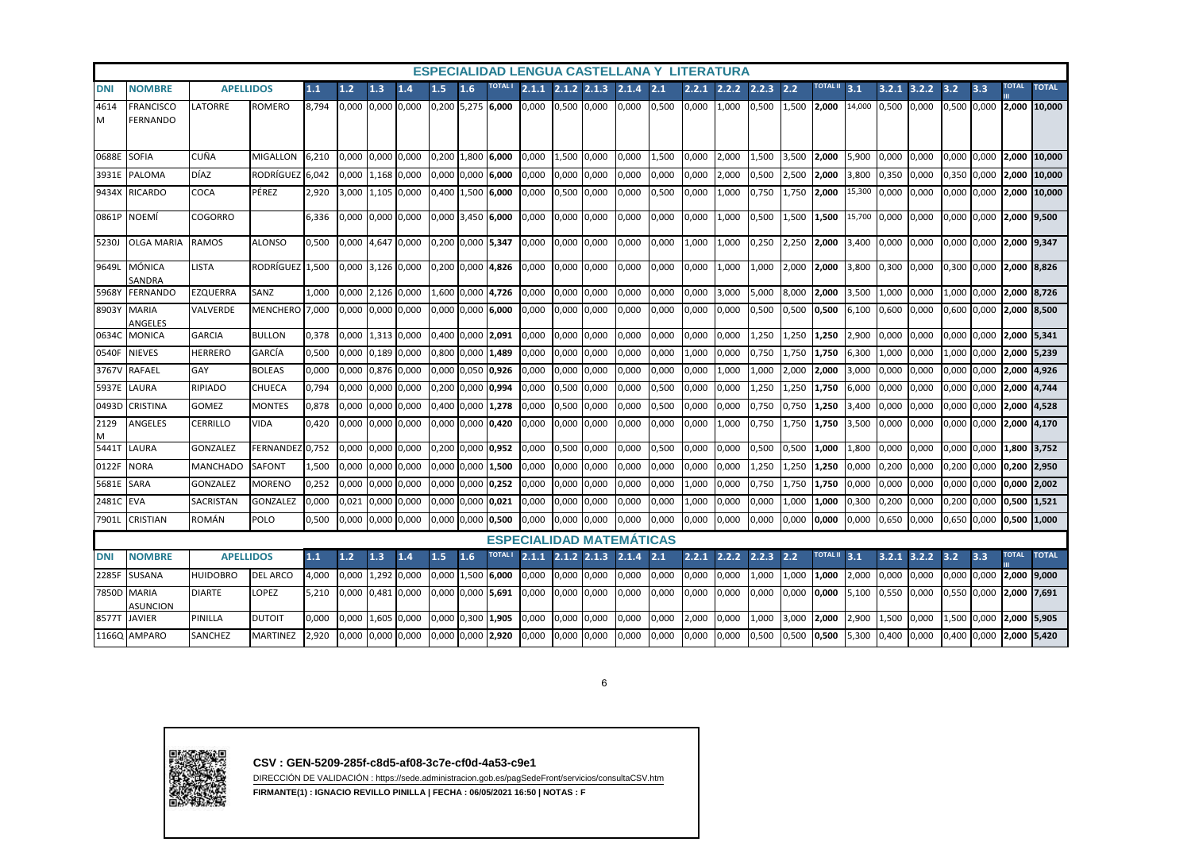|            |                                     |                  |                  |        |       |             |             |       |                   |                     |                 |                 |       |                                 |       |       | ESPECIALIDAD LENGUA CASTELLANA Y LITERATURA |       |                 |                 |        |       |       |             |              |              |              |
|------------|-------------------------------------|------------------|------------------|--------|-------|-------------|-------------|-------|-------------------|---------------------|-----------------|-----------------|-------|---------------------------------|-------|-------|---------------------------------------------|-------|-----------------|-----------------|--------|-------|-------|-------------|--------------|--------------|--------------|
| <b>DNI</b> | <b>NOMBRE</b>                       | <b>APELLIDOS</b> | 1.1              | 1.2    | 1.3   | 1.4         | 1.5         | 1.6   |                   | 2.1.1               | $2.1.2$ $2.1.3$ |                 | 2.1.4 | 2.1                             | 2.2.1 | 2.2.2 | 2.2.3                                       | 2.2   | <b>TOTAL II</b> | 3.1             | 3.2.1  | 3.2.2 | 3.2   | 3.3         | <b>TOTAL</b> | <b>TOTAL</b> |              |
| 4614<br>м  | <b>FRANCISCO</b><br><b>FERNANDO</b> | LATORRE          | <b>ROMERO</b>    | 8.794  | 0.000 |             | 0,000 0,000 |       |                   | $0,200$ 5,275 6,000 | 0.000           | 0,500 0,000     |       | 0,000                           | 0,500 | 0.000 | 1.000                                       | 0,500 | 1,500           | 2.000           | 14,000 | 0.500 | 0.000 | 0,500 0,000 |              |              | 2.000 10.000 |
| 0688E      | <b>SOFIA</b>                        | CUÑA             | <b>MIGALLON</b>  | 6.210  | 0.000 |             | 0.000 0.000 | 0.200 |                   | 1.800 6.000         | 0.000           | 1,500 0,000     |       | 0.000                           | 1,500 | 0.000 | 2.000                                       | 1.500 | 3.500           | 2.000           | 5.900  | 0.000 | 0,000 | 0.000       | 0.000        | 2.000        | 10.000       |
| 3931E      | <b>PALOMA</b>                       | <b>DÍAZ</b>      | RODRÍGUEZ        | 6.042  | 0,000 |             | 1,168 0,000 |       | 0,000 0,000       | 6.000               | 0,000           | 0,000           | 0,000 | 0,000                           | 0,000 | 0,000 | 2,000                                       | 0,500 | 2,500           | 2,000           | 3,800  | 0,350 | 0,000 | 0,350       | 0,000        | 2,000        | 10,000       |
| 9434X      | <b>RICARDO</b>                      | COCA             | PÉREZ            | 2,920  | 3,000 |             | 1,105 0,000 | 0,400 |                   | 1,500 6,000         | 0,000           | 0,500 0,000     |       | 0,000                           | 0,500 | 0,000 | 1,000                                       | 0,750 | 1,750           | 2,000           | 15,300 | 0,000 | 0,000 | 0,000       | 0,000        | 2,000        | 10,000       |
| 0861P      | <b>NOEMÍ</b>                        | <b>COGORRO</b>   |                  | 6,336  | 0,000 |             | 0,000 0,000 |       | 0,000 3,450 6,000 |                     | 0,000           | 0,000           | 0,000 | 0,000                           | 0,000 | 0,000 | 1,000                                       | 0,500 | 1,500           | 1,500           | 15,700 | 0,000 | 0,000 | 0,000       | 0,000        | 2,000 9,500  |              |
| 5230J      | <b>OLGA MARIA</b>                   | <b>RAMOS</b>     | <b>ALONSO</b>    | 0.500  | 0.000 |             | 4.647 0.000 |       | 0.200 0.000 5.347 |                     | 0.000           | 0.000 0.000     |       | 0.000                           | 0.000 | 1.000 | 1.000                                       | 0.250 | 2.250           | 2.000           | 3.400  | 0.000 | 0.000 | 0.000       | 0.000        | 2.000 9.347  |              |
| 9649L      | MÓNICA<br>SANDRA                    | <b>LISTA</b>     | <b>RODRÍGUEZ</b> | 1.500  | 0.000 | 3,126 0,000 |             |       |                   | 0,200 0,000 4,826   | 0,000           | 0,000 0,000     |       | 0,000                           | 0,000 | 0,000 | 1.000                                       | 1,000 | 2.000           | 2.000           | 3,800  | 0,300 | 0,000 | 0,300 0,000 |              | 2.000 8.826  |              |
| 5968Y      | <b>FERNANDO</b>                     | <b>EZQUERRA</b>  | SANZ             | L.000  | 0,000 |             | 2,126 0,000 |       | 1,600 0,000 4,726 |                     | 0,000           | 0,000           | 0,000 | 0,000                           | 0,000 | 0,000 | 3,000                                       | 5,000 | 8,000           | 2,000           | 3,500  | L.000 | 0,000 | 000,١       | 0,000        | 2,000        | 8,726        |
| 8903Y      | <b>MARIA</b><br>ANGELES             | VALVERDE         | MENCHERO 7,000   |        | 0,000 |             | 0,000 0,000 |       |                   | 0,000 0,000 6,000   | 0.000           | 0,000           | 0,000 | 0,000                           | 0,000 | 0,000 | 0,000                                       | 0,500 | 0,500           | 0,500           | 6,100  | 0,600 | 0,000 | 0.600       | 0,000        | 2,000 8,500  |              |
| 0634C      | <b>MONICA</b>                       | <b>GARCIA</b>    | <b>BULLON</b>    | 0,378  | 0.000 |             | 1,313 0,000 |       | 0,400 0,000       | 2,091               | 0,000           | 0,000           | 0,000 | 0,000                           | 0,000 | 0,000 | 0,000                                       | 1,250 | 1,250           | 1,250           | 2,900  | 0,000 | 0,000 | 0,000       | 0,000        | 2,000        | 5,341        |
| 0540F      | <b>NIEVES</b>                       | <b>HERRERO</b>   | GARCÍA           | 0,500  | 0,000 |             | 0,189 0,000 |       | 0,800 0,000       | 1,489               | 0,000           | 0,000           | 0,000 | 0,000                           | 0,000 | 1,000 | 0,000                                       | 0,750 | 1,750           | 1,750           | 6,300  | L,000 | 0,000 | L,000       | 0,000        | 2,000        | 5,239        |
| 3767V      | RAFAEL                              | GAY              | <b>BOLEAS</b>    | 0,000  | 0,000 | 0,876       | 0,000       |       | 0,000 0,050       | 0,926               | 0,000           | 0,000           | 0,000 | 0,000                           | 0,000 | 0,000 | 1,000                                       | L,000 | 2,000           | 2,000           | 3,000  | 0,000 | 0,000 | 0,000       | 0,000        | 2,000        | 4,926        |
| 5937E      | LAURA                               | <b>RIPIADO</b>   | <b>CHUECA</b>    | 0,794  | 0,000 |             | 0,000 0,000 |       | 0,200 0,000 0,994 |                     | 0,000           | 0,500           | 0,000 | 0,000                           | 0,500 | 0,000 | 0,000                                       | 1,250 | 1,250           | 1,750           | 6,000  | 0,000 | 0,000 | 0,000       | 0,000        | 2,000        | 4,744        |
| 0493D      | CRISTINA                            | <b>GOMEZ</b>     | <b>MONTES</b>    | 0,878  | 0,000 |             | 0,000 0,000 |       | 0,400 0,000 1,278 |                     | 0,000           | 0,500           | 0,000 | 0,000                           | 0,500 | 0,000 | 0,000                                       | 0,750 | 0,750           | 1,250           | 3,400  | 0,000 | 0,000 | 0,000       | 0,000        | 2,000        | 4,528        |
| 2129<br>м  | <b>ANGELES</b>                      | CERRILLO         | <b>VIDA</b>      | 0,420  | 0.000 |             | 0,000 0,000 |       | 0,000 0,000 0,420 |                     | 0,000           | 0,000           | 0,000 | 0,000                           | 0,000 | 0,000 | 1,000                                       | 0.750 | 1,750           | 1,750           | 3,500  | 0,000 | 0,000 | 0,000       | 0,000        | 2,000        | 4,170        |
| 5441T      | LAURA                               | <b>GONZALEZ</b>  | <b>FERNANDEZ</b> | 10.752 | 0,000 |             | 0,000 0,000 |       | 0,200 0,000       | 0.952               | 0,000           | 0,500           | 0,000 | 0,000                           | 0,500 | 0,000 | 0,000                                       | 0,500 | 0,500           | 1,000           | 1,800  | 0,000 | 0,000 | 0,000       | 0,000        | 1,800        | 3,752        |
| 0122F      | <b>NORA</b>                         | <b>MANCHADO</b>  | <b>SAFONT</b>    | 1,500  | 0,000 |             | 0,000 0,000 |       | 0,000 0,000       | 1,500               | 0,000           | 0,000           | 0,000 | 0,000                           | 0,000 | 0,000 | 0,000                                       | 1,250 | 1,250           | 1,250           | 0,000  | 0,200 | 0,000 | 0,200       | 0,000        | 0,200        | 2,950        |
| 5681E      | <b>SARA</b>                         | <b>GONZALEZ</b>  | <b>MORENO</b>    | 0,252  | 0.000 |             | 0,000 0,000 |       | 0,000 0,000 0,252 |                     | 0,000           | 0,000           | 0,000 | 0,000                           | 0,000 | 1,000 | 0,000                                       | 0,750 | 1,750           | 1,750           | 0,000  | 0,000 | 0,000 | 0,000       | 0,000        | 0,000        | 2,002        |
| 2481C      | <b>EVA</b>                          | SACRISTAN        | <b>GONZALEZ</b>  | 0.000  | 0.021 |             | 0.000 0.000 |       | 0.000 0.000 0.021 |                     | 0,000           | 0.000           | 0,000 | 0,000                           | 0,000 | 1.000 | 0,000                                       | 0.000 | 1.000           | 1.000           | 0,300  | 0.200 | 0,000 | 0.200       | 0.000        | 0,500        | 1.521        |
| 7901L      | CRISTIAN                            | <b>ROMÁN</b>     | <b>POLO</b>      | 0,500  | 0,000 |             | 0,000 0,000 |       | 0,000 0,000 0,500 |                     | 0,000           | 0,000           | 0,000 | 0,000                           | 0,000 | 0,000 | 0,000                                       | 0,000 | 0,000           | 0,000           | 0,000  | 0,650 | 0,000 | 0,650 0,000 |              | 0,500        | 1,000        |
|            |                                     |                  |                  |        |       |             |             |       |                   |                     |                 |                 |       | <b>ESPECIALIDAD MATEMATICAS</b> |       |       |                                             |       |                 |                 |        |       |       |             |              |              |              |
| <b>DNI</b> | <b>NOMBRE</b>                       | <b>APELLIDOS</b> |                  | 1.1    | 1.2   | 1.3         | 1.4         | 1.5   | 1.6               | <b>TOTAL</b>        | 2.1.1           | $2.1.2$ $2.1.3$ |       | 2.1.4                           | 2.1   | 2.2.1 | 2.2.2                                       | 2.2.3 | 2.2             | <b>TOTAL II</b> | 3.1    | 3.2.1 | 3.2.2 | 3.2         | 3.3          | <b>TOTAL</b> | <b>TOTAL</b> |
| 2285F      | SUSANA                              | <b>HUIDOBRO</b>  | <b>DEL ARCO</b>  | 4,000  | 0,000 |             | 1,292 0,000 | 0,000 | 1,500             | 6,000               | 0,000           | 0,000           | 0,000 | 0,000                           | 0,000 | 0,000 | 0,000                                       | 1,000 | 1,000           | 1,000           | 2,000  | 0,000 | 0,000 | 0,000       | 0,000        | 2,000        | 9,000        |
| 7850D      | <b>MARIA</b><br>ASUNCION            | <b>DIARTE</b>    | LOPEZ            | 5,210  | 0,000 |             | 0,481 0,000 |       |                   | 0,000 0,000 5,691   | 0,000           | 0,000           | 0,000 | 0,000                           | 0,000 | 0,000 | 0,000                                       | 0,000 | 0,000           | 0,000           | 5,100  | 0,550 | 0,000 | 0,550       | 0,000        | 2,000 7,691  |              |
| 8577T      | <b>JAVIER</b>                       | PINILLA          | <b>DUTOIT</b>    | 0.000  | 0,000 |             | 1,605 0,000 |       | 0.000 0.300       | 1.905               | 0,000           | 0,000           | 0,000 | 0,000                           | 0,000 | 2,000 | 0.000                                       | 1,000 | 3,000           | 2,000           | 2,900  | L,500 | 0,000 | .,500       | 0,000        | 2,000        | 5,905        |
|            | 1166Q AMPARO                        | SANCHEZ          | <b>MARTINEZ</b>  | 920    | 0,000 |             | 0,000 0,000 |       | 0,000 0,000       | 2,920               | 0,000           | 0,000           | 0,000 | 0,000                           | 0,000 | 0,000 | 0,000                                       | 0,500 | 0,500           | 0,500           | 5,300  | 0,400 | 0,000 | 0,400       | 0,000        | 2,000        | 5,420        |

6



**CSV : GEN-5209-285f-c8d5-af08-3c7e-cf0d-4a53-c9e1**

DIRECCIÓN DE VALIDACIÓN : https://sede.administracion.gob.es/pagSedeFront/servicios/consultaCSV.htm

**FIRMANTE(1) : IGNACIO REVILLO PINILLA | FECHA : 06/05/2021 16:50 | NOTAS : F**